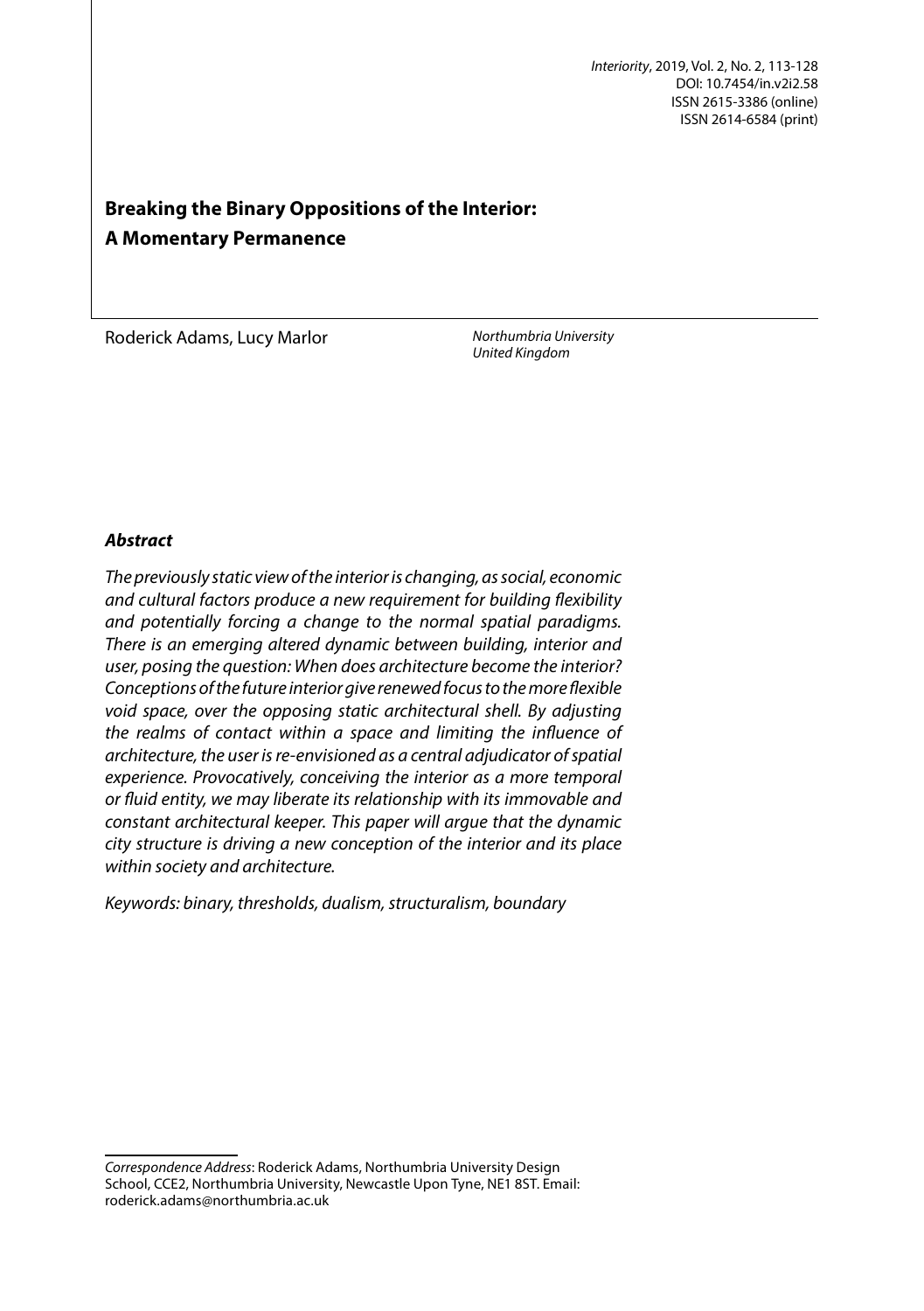# **Breaking the Binary Oppositions of the Interior: A Momentary Permanence**

*United Kingdom* Roderick Adams, Lucy Marlor

*Northumbria University*

# *Abstract*

*The previously static view of the interior is changing, as social, economic and cultural factors produce a new requirement for building* f*exibility and potentially forcing a change to the normal spatial paradigms. There is an emerging altered dynamic between building, interior and user, posing the question: When does architecture become the interior? Conceptions of the future interior give renewed focus to the more* f*exible void space, over the opposing static architectural shell. By adjusting the realms of contact within a space and limiting the in*f*uence of architecture, the user is re-envisioned as a central adjudicator of spatial experience. Provocatively, conceiving the interior as a more temporal or* f*uid entity, we may liberate its relationship with its immovable and constant architectural keeper. This paper will argue that the dynamic city structure is driving a new conception of the interior and its place within society and architecture.* 

*Keywords: binary, thresholds, dualism, structuralism, boundary*

*Correspondence Address*: Roderick Adams, Northumbria University Design School, CCE2, Northumbria University, Newcastle Upon Tyne, NE1 8ST. Email: roderick.adams@northumbria.ac.uk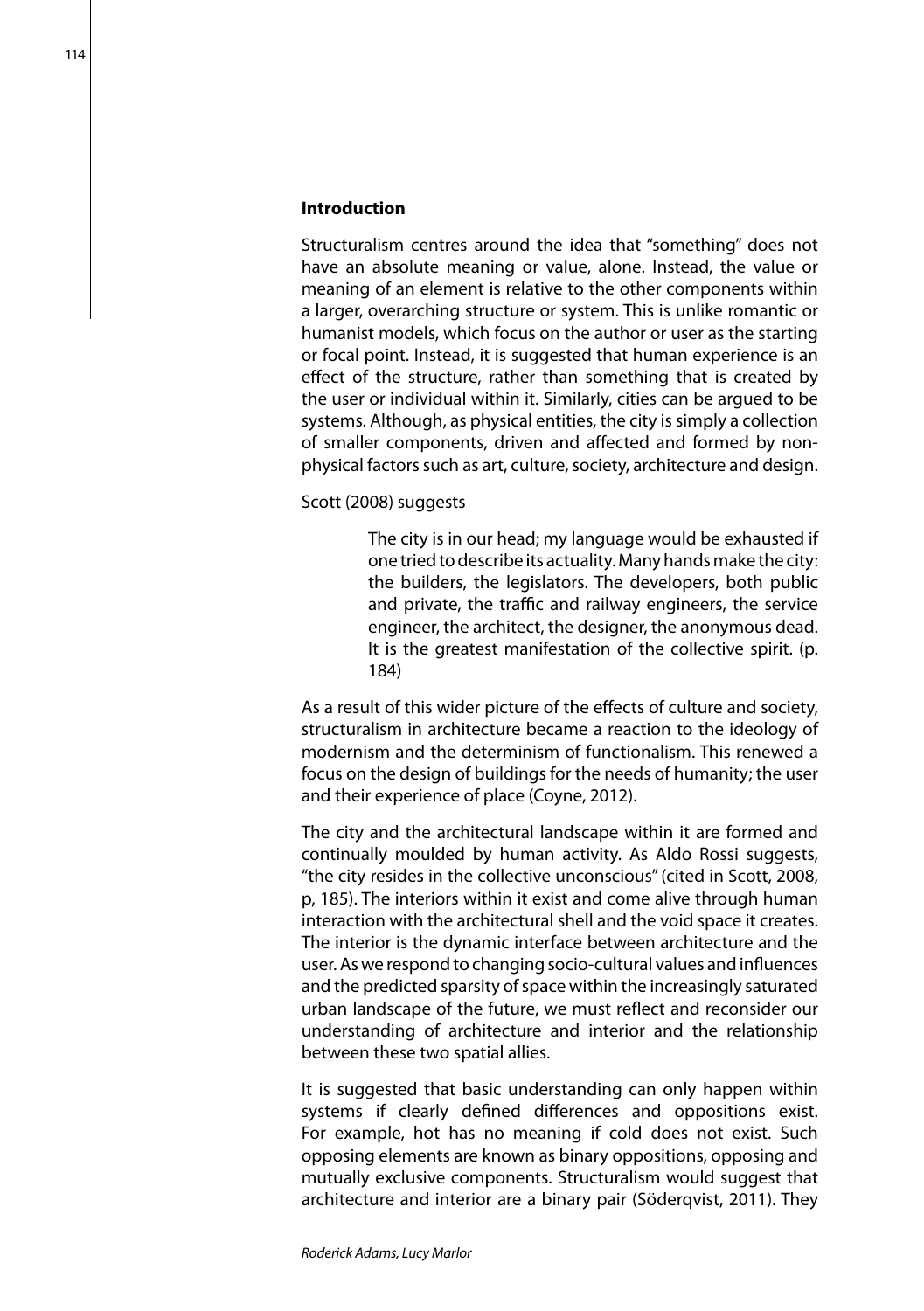#### **Introduction**

Structuralism centres around the idea that "something" does not have an absolute meaning or value, alone. Instead, the value or meaning of an element is relative to the other components within a larger, overarching structure or system. This is unlike romantic or humanist models, which focus on the author or user as the starting or focal point. Instead, it is suggested that human experience is an effect of the structure, rather than something that is created by the user or individual within it. Similarly, cities can be argued to be systems. Although, as physical entities, the city is simply a collection of smaller components, driven and affected and formed by nonphysical factors such as art, culture, society, architecture and design.

Scott (2008) suggests

The city is in our head; my language would be exhausted if one tried to describe its actuality. Many hands make the city: the builders, the legislators. The developers, both public and private, the traffic and railway engineers, the service engineer, the architect, the designer, the anonymous dead. It is the greatest manifestation of the collective spirit. (p. 184)

As a result of this wider picture of the effects of culture and society, structuralism in architecture became a reaction to the ideology of modernism and the determinism of functionalism. This renewed a focus on the design of buildings for the needs of humanity; the user and their experience of place (Coyne, 2012).

The city and the architectural landscape within it are formed and continually moulded by human activity. As Aldo Rossi suggests, "the city resides in the collective unconscious" (cited in Scott, 2008, p, 185). The interiors within it exist and come alive through human interaction with the architectural shell and the void space it creates. The interior is the dynamic interface between architecture and the user. As we respond to changing socio-cultural values and influences and the predicted sparsity of space within the increasingly saturated urban landscape of the future, we must reflect and reconsider our understanding of architecture and interior and the relationship between these two spatial allies.

It is suggested that basic understanding can only happen within systems if clearly defined differences and oppositions exist. For example, hot has no meaning if cold does not exist. Such opposing elements are known as binary oppositions, opposing and mutually exclusive components. Structuralism would suggest that architecture and interior are a binary pair (Söderqvist, 2011). They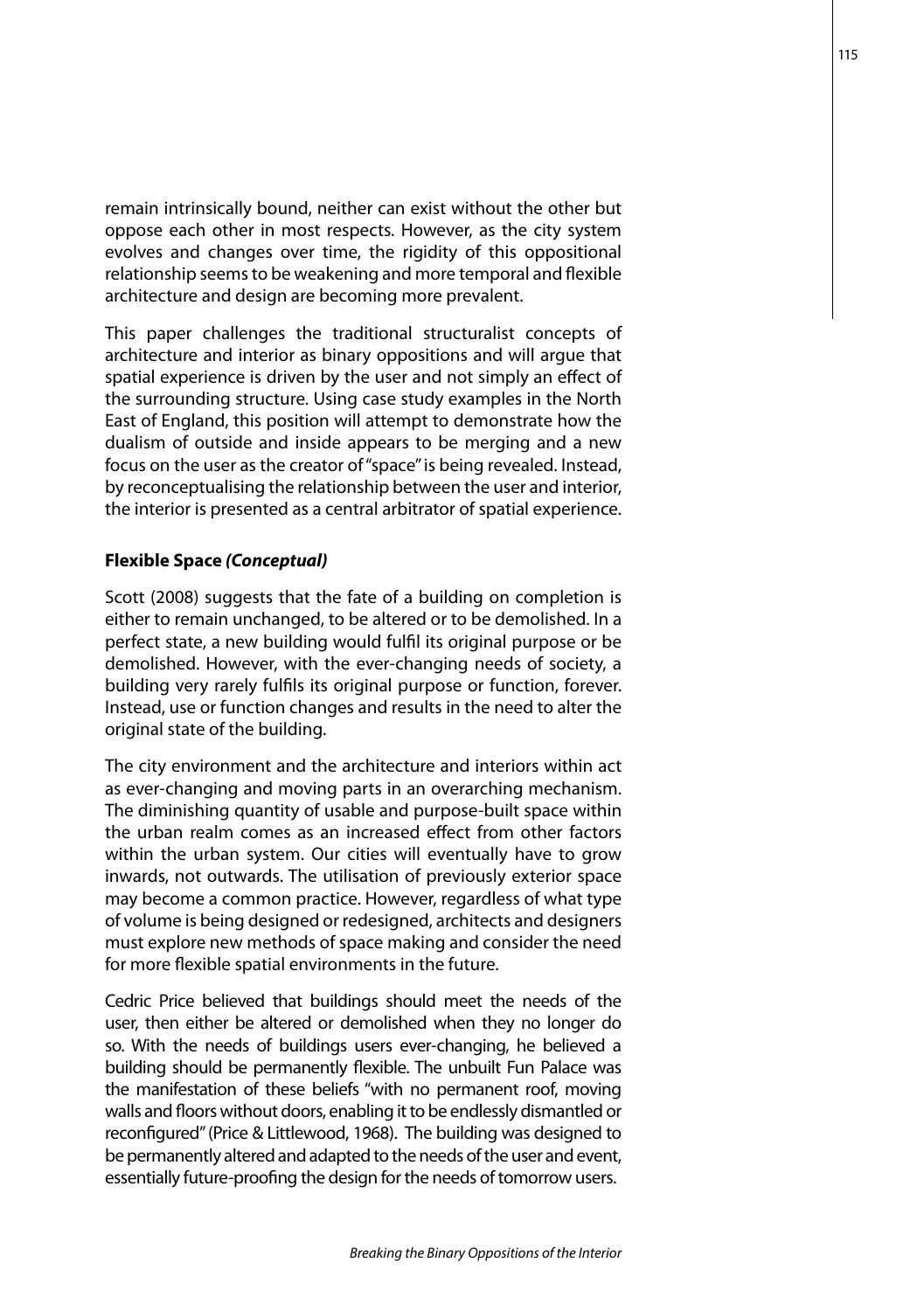remain intrinsically bound, neither can exist without the other but oppose each other in most respects. However, as the city system evolves and changes over time, the rigidity of this oppositional relationship seems to be weakening and more temporal and flexible architecture and design are becoming more prevalent.

This paper challenges the traditional structuralist concepts of architecture and interior as binary oppositions and will argue that spatial experience is driven by the user and not simply an effect of the surrounding structure. Using case study examples in the North East of England, this position will attempt to demonstrate how the dualism of outside and inside appears to be merging and a new focus on the user as the creator of "space" is being revealed. Instead, by reconceptualising the relationship between the user and interior, the interior is presented as a central arbitrator of spatial experience.

## **Flexible Space** *(Conceptual)*

Scott (2008) suggests that the fate of a building on completion is either to remain unchanged, to be altered or to be demolished. In a perfect state, a new building would fulfil its original purpose or be demolished. However, with the ever-changing needs of society, a building very rarely fulfils its original purpose or function, forever. Instead, use or function changes and results in the need to alter the original state of the building.

The city environment and the architecture and interiors within act as ever-changing and moving parts in an overarching mechanism. The diminishing quantity of usable and purpose-built space within the urban realm comes as an increased effect from other factors within the urban system. Our cities will eventually have to grow inwards, not outwards. The utilisation of previously exterior space may become a common practice. However, regardless of what type of volume is being designed or redesigned, architects and designers must explore new methods of space making and consider the need for more flexible spatial environments in the future.

Cedric Price believed that buildings should meet the needs of the user, then either be altered or demolished when they no longer do so. With the needs of buildings users ever-changing, he believed a building should be permanently flexible. The unbuilt Fun Palace was the manifestation of these beliefs "with no permanent roof, moving walls and floors without doors, enabling it to be endlessly dismantled or reconfigured" (Price & Littlewood, 1968). The building was designed to be permanently altered and adapted to the needs of the user and event, essentially future-proofing the design for the needs of tomorrow users.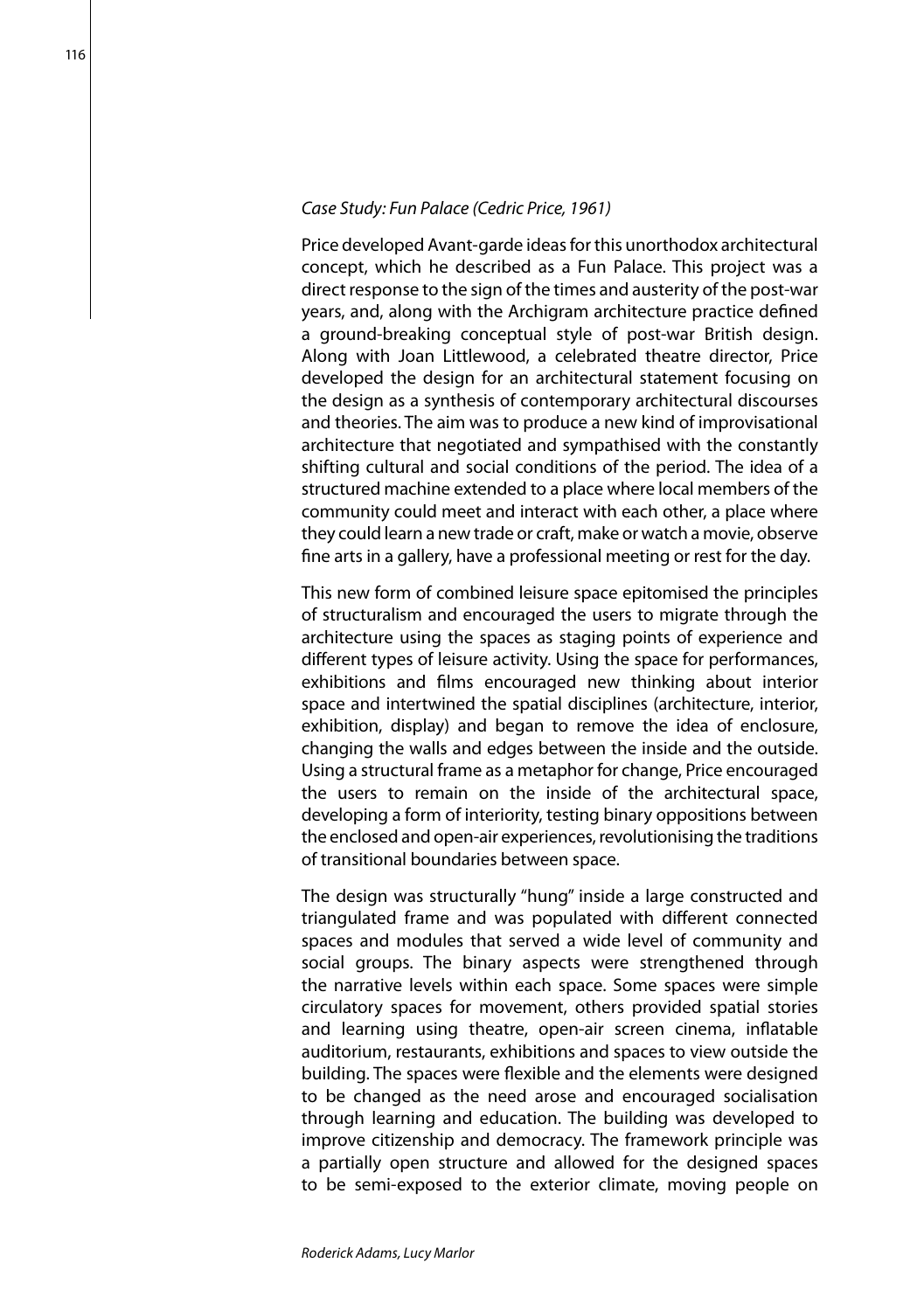#### *Case Study: Fun Palace (Cedric Price, 1961)*

Price developed Avant-garde ideas for this unorthodox architectural concept, which he described as a Fun Palace. This project was a direct response to the sign of the times and austerity of the post-war years, and, along with the Archigram architecture practice defined a ground-breaking conceptual style of post-war British design. Along with Joan Littlewood, a celebrated theatre director, Price developed the design for an architectural statement focusing on the design as a synthesis of contemporary architectural discourses and theories. The aim was to produce a new kind of improvisational architecture that negotiated and sympathised with the constantly shifting cultural and social conditions of the period. The idea of a structured machine extended to a place where local members of the community could meet and interact with each other, a place where they could learn a new trade or craft, make or watch a movie, observe fine arts in a gallery, have a professional meeting or rest for the day.

This new form of combined leisure space epitomised the principles of structuralism and encouraged the users to migrate through the architecture using the spaces as staging points of experience and different types of leisure activity. Using the space for performances, exhibitions and films encouraged new thinking about interior space and intertwined the spatial disciplines (architecture, interior, exhibition, display) and began to remove the idea of enclosure, changing the walls and edges between the inside and the outside. Using a structural frame as a metaphor for change, Price encouraged the users to remain on the inside of the architectural space, developing a form of interiority, testing binary oppositions between the enclosed and open-air experiences, revolutionising the traditions of transitional boundaries between space.

The design was structurally "hung" inside a large constructed and triangulated frame and was populated with different connected spaces and modules that served a wide level of community and social groups. The binary aspects were strengthened through the narrative levels within each space. Some spaces were simple circulatory spaces for movement, others provided spatial stories and learning using theatre, open-air screen cinema, inflatable auditorium, restaurants, exhibitions and spaces to view outside the building. The spaces were flexible and the elements were designed to be changed as the need arose and encouraged socialisation through learning and education. The building was developed to improve citizenship and democracy. The framework principle was a partially open structure and allowed for the designed spaces to be semi-exposed to the exterior climate, moving people on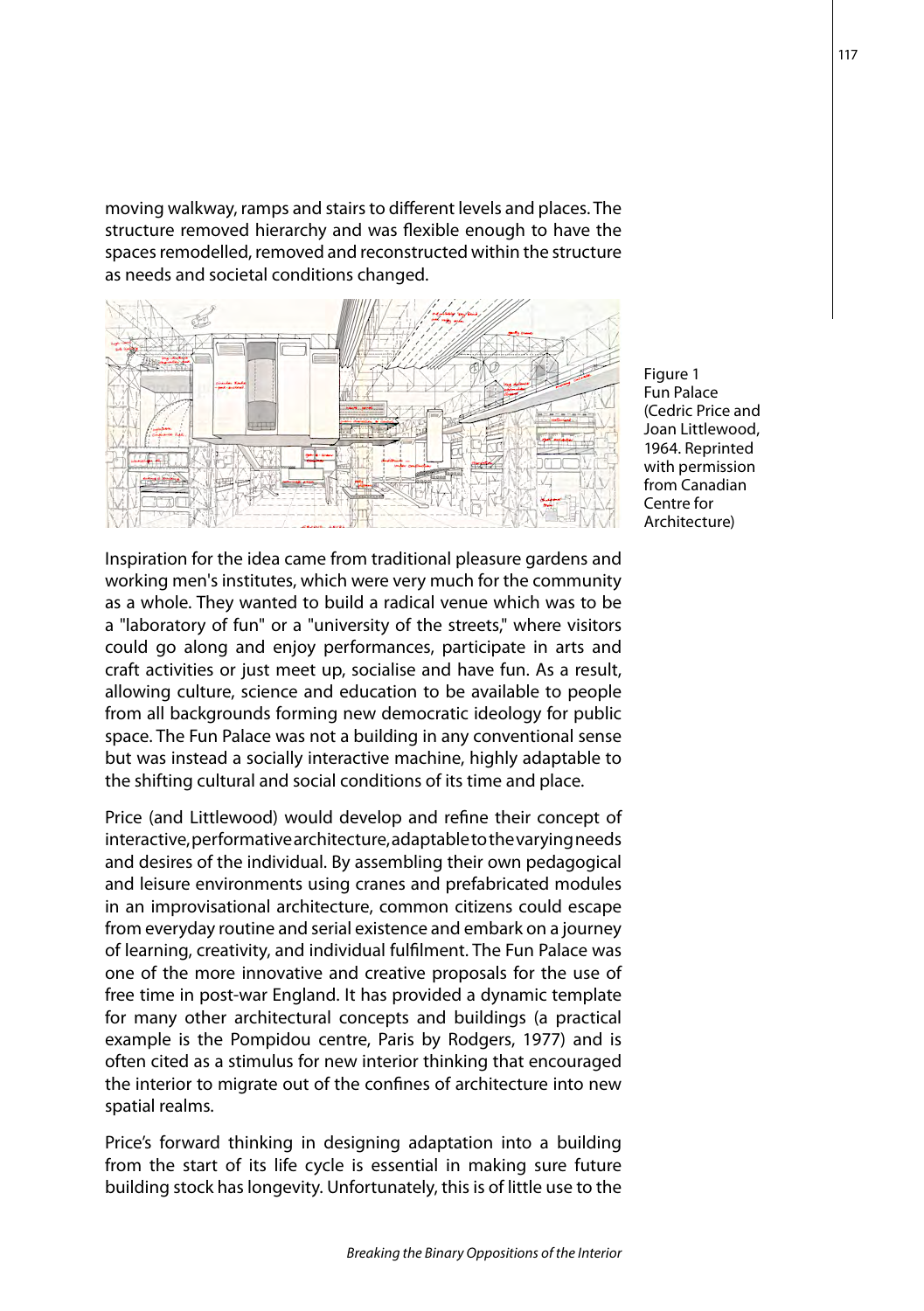moving walkway, ramps and stairs to different levels and places. The structure removed hierarchy and was flexible enough to have the spaces remodelled, removed and reconstructed within the structure as needs and societal conditions changed.



Inspiration for the idea came from traditional pleasure gardens and working men's institutes, which were very much for the community as a whole. They wanted to build a radical venue which was to be a "laboratory of fun" or a "university of the streets," where visitors could go along and enjoy performances, participate in arts and craft activities or just meet up, socialise and have fun. As a result, allowing culture, science and education to be available to people from all backgrounds forming new democratic ideology for public space. The Fun Palace was not a building in any conventional sense but was instead a socially interactive machine, highly adaptable to the shifting cultural and social conditions of its time and place.

Price (and Littlewood) would develop and refine their concept of interactive, performative architecture, adaptable to the varying needs and desires of the individual. By assembling their own pedagogical and leisure environments using cranes and prefabricated modules in an improvisational architecture, common citizens could escape from everyday routine and serial existence and embark on a journey of learning, creativity, and individual fulfilment. The Fun Palace was one of the more innovative and creative proposals for the use of free time in post-war England. It has provided a dynamic template for many other architectural concepts and buildings (a practical example is the Pompidou centre, Paris by Rodgers, 1977) and is often cited as a stimulus for new interior thinking that encouraged the interior to migrate out of the confines of architecture into new spatial realms.

Price's forward thinking in designing adaptation into a building from the start of its life cycle is essential in making sure future building stock has longevity. Unfortunately, this is of little use to the

Figure 1 Fun Palace (Cedric Price and Joan Littlewood, 1964. Reprinted with permission from Canadian Centre for Architecture)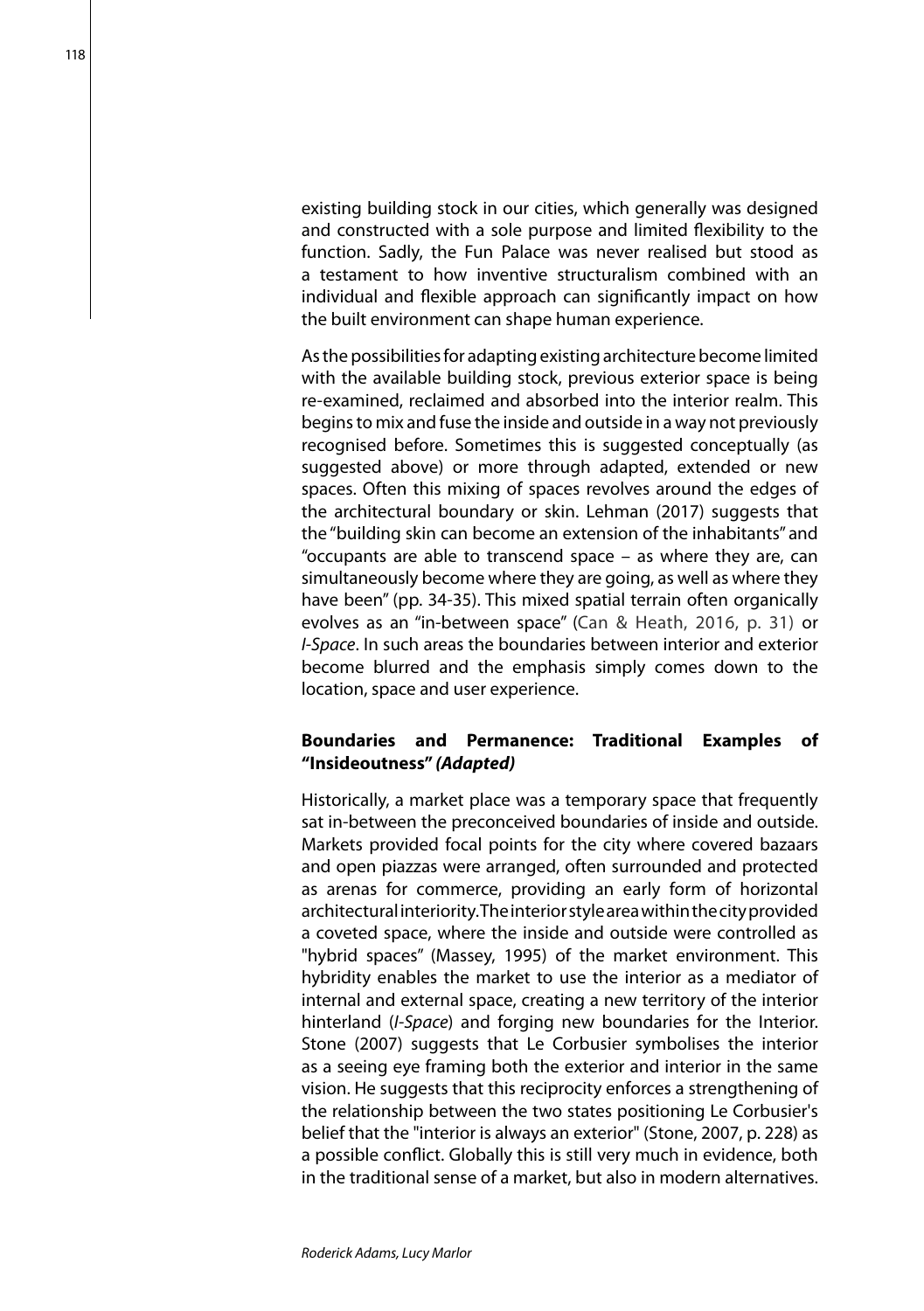existing building stock in our cities, which generally was designed and constructed with a sole purpose and limited flexibility to the function. Sadly, the Fun Palace was never realised but stood as a testament to how inventive structuralism combined with an individual and flexible approach can significantly impact on how the built environment can shape human experience.

As the possibilities for adapting existing architecture become limited with the available building stock, previous exterior space is being re-examined, reclaimed and absorbed into the interior realm. This begins to mix and fuse the inside and outside in a way not previously recognised before. Sometimes this is suggested conceptually (as suggested above) or more through adapted, extended or new spaces. Often this mixing of spaces revolves around the edges of the architectural boundary or skin. Lehman (2017) suggests that the "building skin can become an extension of the inhabitants" and "occupants are able to transcend space – as where they are, can simultaneously become where they are going, as well as where they have been" (pp. 34-35). This mixed spatial terrain often organically evolves as an "in-between space" (Can & Heath, 2016, p. 31) or *I-Space*. In such areas the boundaries between interior and exterior become blurred and the emphasis simply comes down to the location, space and user experience.

## **Boundaries and Permanence: Traditional Examples of "Insideoutness"** *(Adapted)*

Historically, a market place was a temporary space that frequently sat in-between the preconceived boundaries of inside and outside. Markets provided focal points for the city where covered bazaars and open piazzas were arranged, often surrounded and protected as arenas for commerce, providing an early form of horizontal architectural interiority. The interior style area within the city provided a coveted space, where the inside and outside were controlled as "hybrid spaces" (Massey, 1995) of the market environment. This hybridity enables the market to use the interior as a mediator of internal and external space, creating a new territory of the interior hinterland (*I-Space*) and forging new boundaries for the Interior. Stone (2007) suggests that Le Corbusier symbolises the interior as a seeing eye framing both the exterior and interior in the same vision. He suggests that this reciprocity enforces a strengthening of the relationship between the two states positioning Le Corbusier's belief that the "interior is always an exterior" (Stone, 2007, p. 228) as a possible conflict. Globally this is still very much in evidence, both in the traditional sense of a market, but also in modern alternatives.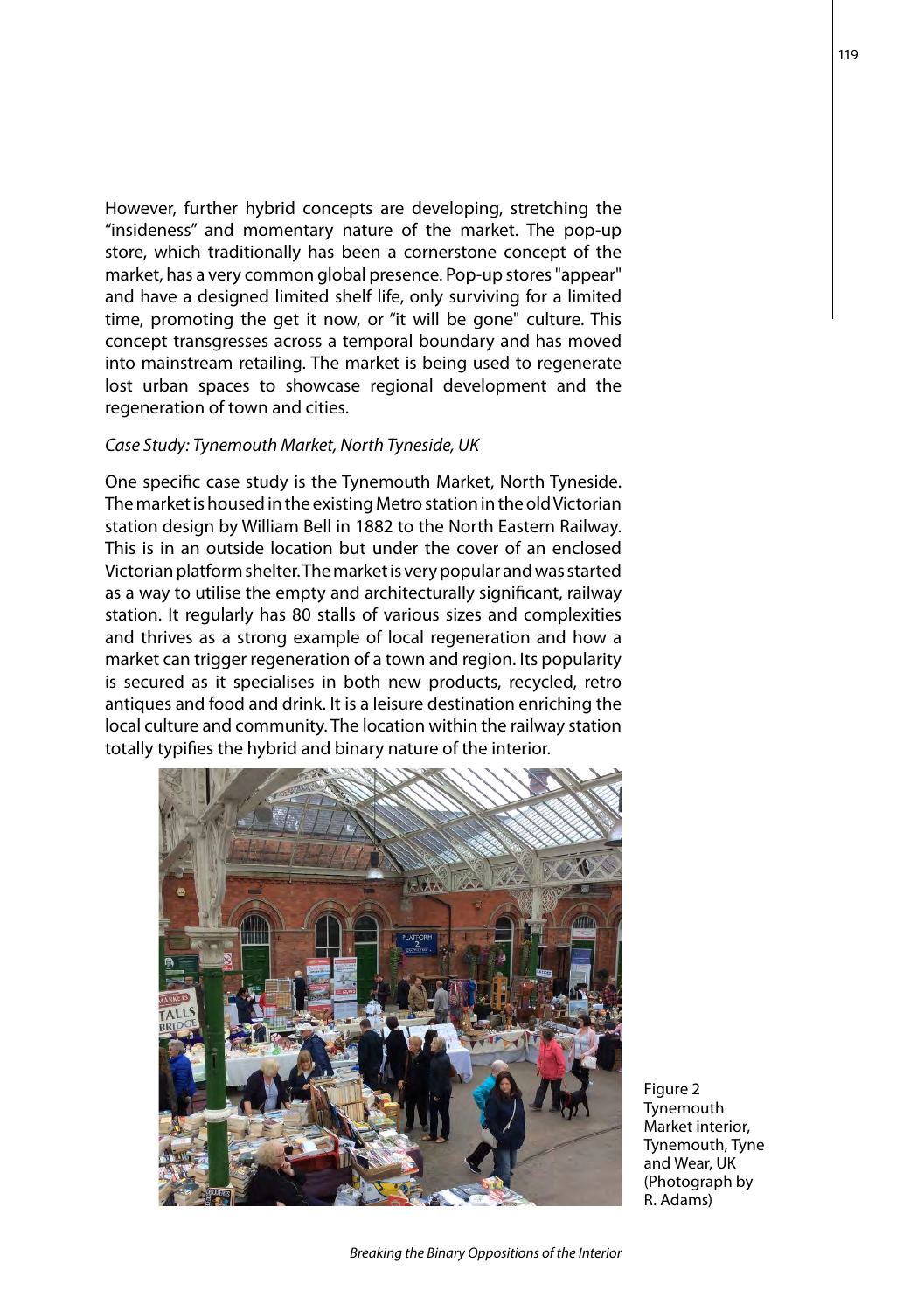However, further hybrid concepts are developing, stretching the "insideness" and momentary nature of the market. The pop-up store, which traditionally has been a cornerstone concept of the market, has a very common global presence. Pop-up stores "appear" and have a designed limited shelf life, only surviving for a limited time, promoting the get it now, or "it will be gone" culture. This concept transgresses across a temporal boundary and has moved into mainstream retailing. The market is being used to regenerate lost urban spaces to showcase regional development and the regeneration of town and cities.

#### *Case Study: Tynemouth Market, North Tyneside, UK*

One specific case study is the Tynemouth Market, North Tyneside. The market is housed in the existing Metro station in the old Victorian station design by William Bell in 1882 to the North Eastern Railway. This is in an outside location but under the cover of an enclosed Victorian platform shelter. The market is very popular and was started as a way to utilise the empty and architecturally significant, railway station. It regularly has 80 stalls of various sizes and complexities and thrives as a strong example of local regeneration and how a market can trigger regeneration of a town and region. Its popularity is secured as it specialises in both new products, recycled, retro antiques and food and drink. It is a leisure destination enriching the local culture and community. The location within the railway station totally typifies the hybrid and binary nature of the interior.



Figure 2 Tynemouth Market interior, Tynemouth, Tyne and Wear, UK (Photograph by R. Adams)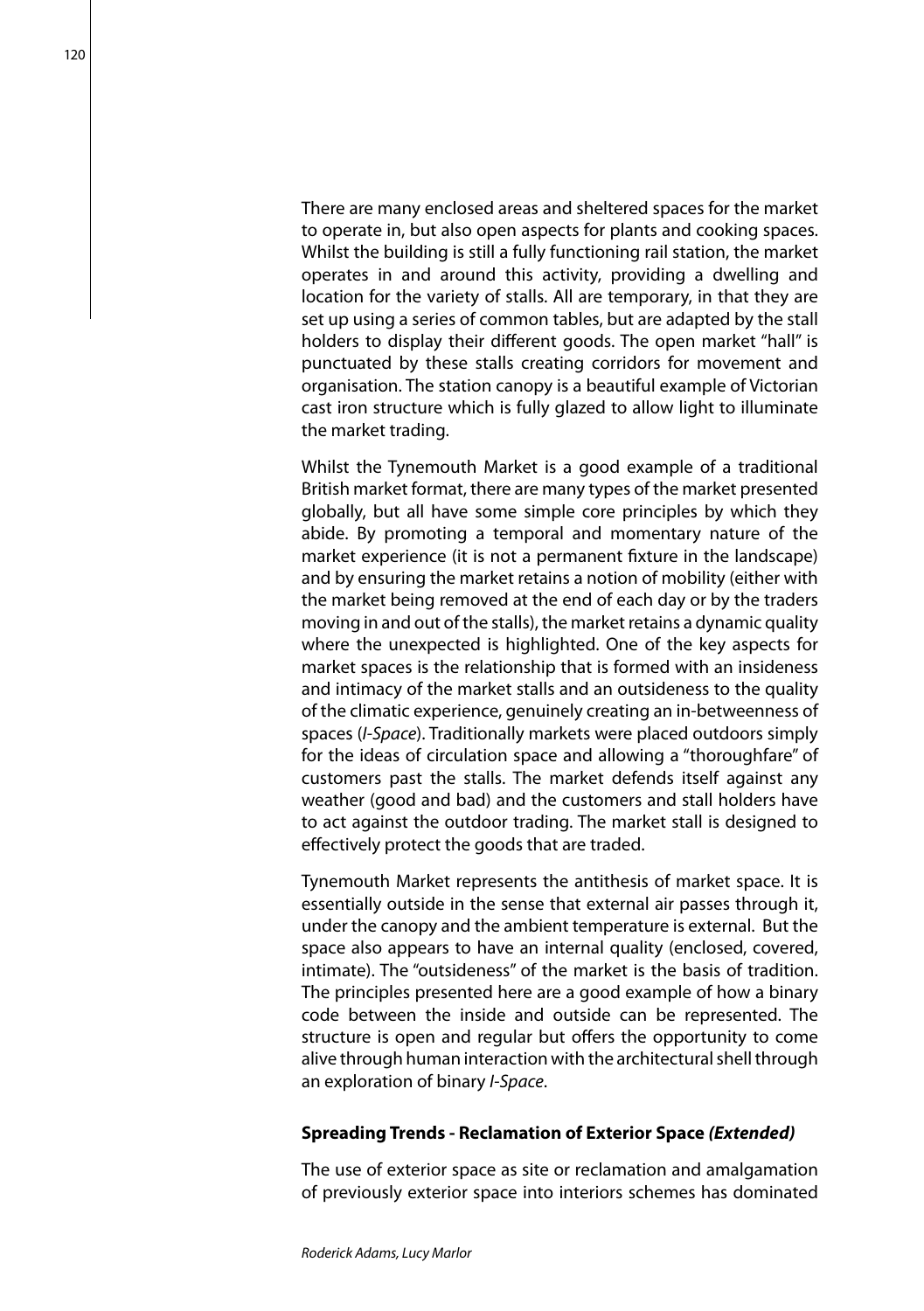There are many enclosed areas and sheltered spaces for the market to operate in, but also open aspects for plants and cooking spaces. Whilst the building is still a fully functioning rail station, the market operates in and around this activity, providing a dwelling and location for the variety of stalls. All are temporary, in that they are set up using a series of common tables, but are adapted by the stall holders to display their different goods. The open market "hall" is punctuated by these stalls creating corridors for movement and organisation. The station canopy is a beautiful example of Victorian cast iron structure which is fully glazed to allow light to illuminate the market trading.

Whilst the Tynemouth Market is a good example of a traditional British market format, there are many types of the market presented globally, but all have some simple core principles by which they abide. By promoting a temporal and momentary nature of the market experience (it is not a permanent fixture in the landscape) and by ensuring the market retains a notion of mobility (either with the market being removed at the end of each day or by the traders moving in and out of the stalls), the market retains a dynamic quality where the unexpected is highlighted. One of the key aspects for market spaces is the relationship that is formed with an insideness and intimacy of the market stalls and an outsideness to the quality of the climatic experience, genuinely creating an in-betweenness of spaces (*I-Space*). Traditionally markets were placed outdoors simply for the ideas of circulation space and allowing a "thoroughfare" of customers past the stalls. The market defends itself against any weather (good and bad) and the customers and stall holders have to act against the outdoor trading. The market stall is designed to effectively protect the goods that are traded.

Tynemouth Market represents the antithesis of market space. It is essentially outside in the sense that external air passes through it, under the canopy and the ambient temperature is external. But the space also appears to have an internal quality (enclosed, covered, intimate). The "outsideness" of the market is the basis of tradition. The principles presented here are a good example of how a binary code between the inside and outside can be represented. The structure is open and regular but offers the opportunity to come alive through human interaction with the architectural shell through an exploration of binary *I-Space*.

#### **Spreading Trends - Reclamation of Exterior Space** *(Extended)*

The use of exterior space as site or reclamation and amalgamation of previously exterior space into interiors schemes has dominated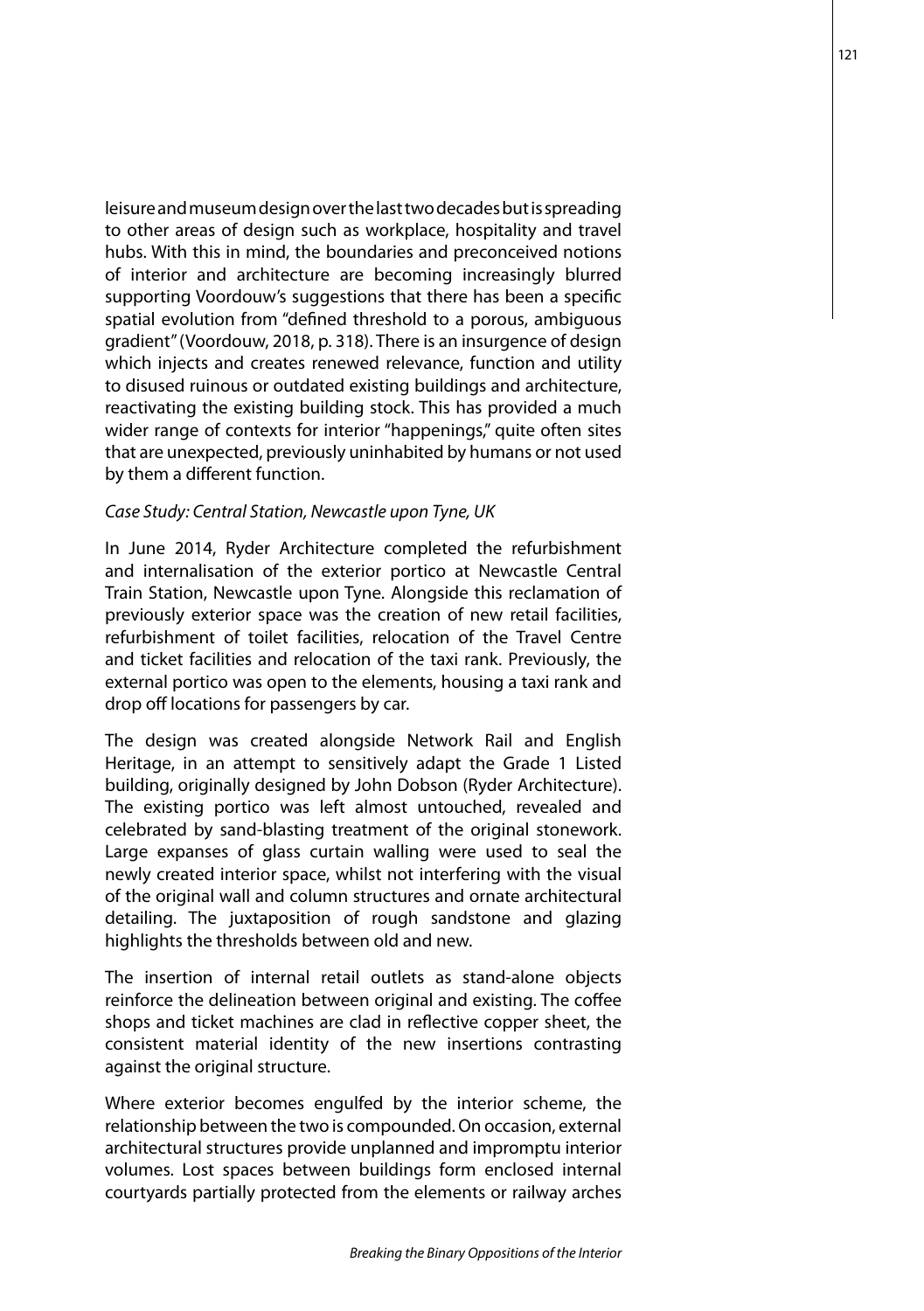leisure and museum design over the last two decades but is spreading to other areas of design such as workplace, hospitality and travel hubs. With this in mind, the boundaries and preconceived notions of interior and architecture are becoming increasingly blurred supporting Voordouw's suggestions that there has been a specific spatial evolution from "defined threshold to a porous, ambiguous gradient" (Voordouw, 2018, p. 318). There is an insurgence of design which injects and creates renewed relevance, function and utility to disused ruinous or outdated existing buildings and architecture, reactivating the existing building stock. This has provided a much wider range of contexts for interior "happenings," quite often sites that are unexpected, previously uninhabited by humans or not used by them a different function.

#### *Case Study: Central Station, Newcastle upon Tyne, UK*

In June 2014, Ryder Architecture completed the refurbishment and internalisation of the exterior portico at Newcastle Central Train Station, Newcastle upon Tyne. Alongside this reclamation of previously exterior space was the creation of new retail facilities, refurbishment of toilet facilities, relocation of the Travel Centre and ticket facilities and relocation of the taxi rank. Previously, the external portico was open to the elements, housing a taxi rank and drop off locations for passengers by car.

The design was created alongside Network Rail and English Heritage, in an attempt to sensitively adapt the Grade 1 Listed building, originally designed by John Dobson (Ryder Architecture). The existing portico was left almost untouched, revealed and celebrated by sand-blasting treatment of the original stonework. Large expanses of glass curtain walling were used to seal the newly created interior space, whilst not interfering with the visual of the original wall and column structures and ornate architectural detailing. The juxtaposition of rough sandstone and glazing highlights the thresholds between old and new.

The insertion of internal retail outlets as stand-alone objects reinforce the delineation between original and existing. The coffee shops and ticket machines are clad in reflective copper sheet, the consistent material identity of the new insertions contrasting against the original structure.

Where exterior becomes engulfed by the interior scheme, the relationship between the two is compounded. On occasion, external architectural structures provide unplanned and impromptu interior volumes. Lost spaces between buildings form enclosed internal courtyards partially protected from the elements or railway arches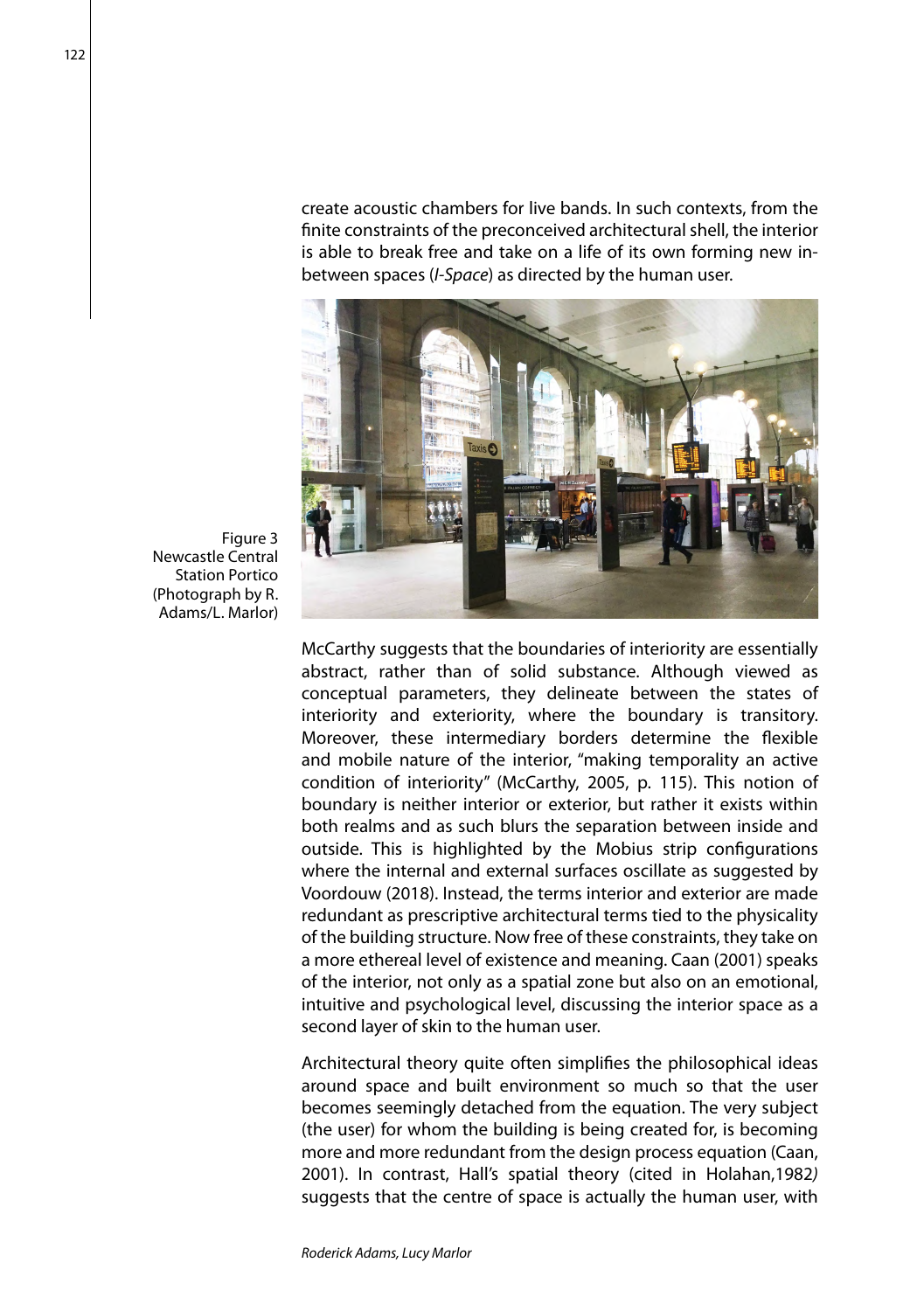create acoustic chambers for live bands. In such contexts, from the finite constraints of the preconceived architectural shell, the interior is able to break free and take on a life of its own forming new inbetween spaces (*I-Space*) as directed by the human user.



Figure 3 Newcastle Central Station Portico (Photograph by R. Adams/L. Marlor)

> McCarthy suggests that the boundaries of interiority are essentially abstract, rather than of solid substance. Although viewed as conceptual parameters, they delineate between the states of interiority and exteriority, where the boundary is transitory. Moreover, these intermediary borders determine the flexible and mobile nature of the interior, "making temporality an active condition of interiority" (McCarthy, 2005, p. 115). This notion of boundary is neither interior or exterior, but rather it exists within both realms and as such blurs the separation between inside and outside. This is highlighted by the Mobius strip configurations where the internal and external surfaces oscillate as suggested by Voordouw (2018). Instead, the terms interior and exterior are made redundant as prescriptive architectural terms tied to the physicality of the building structure. Now free of these constraints, they take on a more ethereal level of existence and meaning. Caan (2001) speaks of the interior, not only as a spatial zone but also on an emotional, intuitive and psychological level, discussing the interior space as a second layer of skin to the human user.

> Architectural theory quite often simplifies the philosophical ideas around space and built environment so much so that the user becomes seemingly detached from the equation. The very subject (the user) for whom the building is being created for, is becoming more and more redundant from the design process equation (Caan, 2001). In contrast, Hall's spatial theory (cited in Holahan,1982*)* suggests that the centre of space is actually the human user, with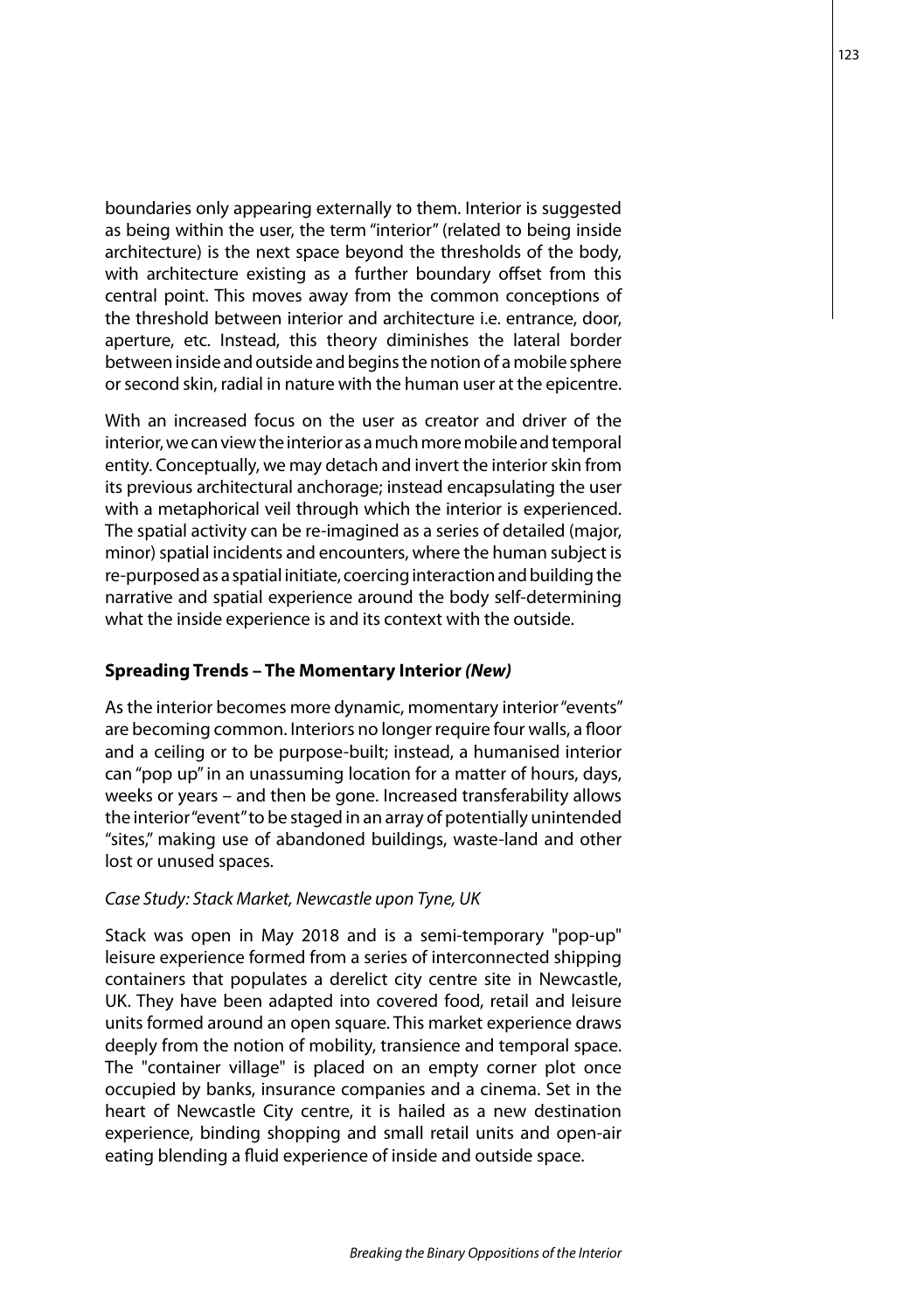boundaries only appearing externally to them. Interior is suggested as being within the user, the term "interior" (related to being inside architecture) is the next space beyond the thresholds of the body, with architecture existing as a further boundary offset from this central point. This moves away from the common conceptions of the threshold between interior and architecture i.e. entrance, door, aperture, etc. Instead, this theory diminishes the lateral border between inside and outside and begins the notion of a mobile sphere or second skin, radial in nature with the human user at the epicentre.

With an increased focus on the user as creator and driver of the interior, we can view the interior as a much more mobile and temporal entity. Conceptually, we may detach and invert the interior skin from its previous architectural anchorage; instead encapsulating the user with a metaphorical veil through which the interior is experienced. The spatial activity can be re-imagined as a series of detailed (major, minor) spatial incidents and encounters, where the human subject is re-purposed as a spatial initiate, coercing interaction and building the narrative and spatial experience around the body self-determining what the inside experience is and its context with the outside.

## **Spreading Trends – The Momentary Interior** *(New)*

As the interior becomes more dynamic, momentary interior "events" are becoming common. Interiors no longer require four walls, a floor and a ceiling or to be purpose-built; instead, a humanised interior can "pop up" in an unassuming location for a matter of hours, days, weeks or years – and then be gone. Increased transferability allows the interior "event" to be staged in an array of potentially unintended "sites," making use of abandoned buildings, waste-land and other lost or unused spaces.

# *Case Study: Stack Market, Newcastle upon Tyne, UK*

Stack was open in May 2018 and is a semi-temporary "pop-up" leisure experience formed from a series of interconnected shipping containers that populates a derelict city centre site in Newcastle, UK. They have been adapted into covered food, retail and leisure units formed around an open square. This market experience draws deeply from the notion of mobility, transience and temporal space. The "container village" is placed on an empty corner plot once occupied by banks, insurance companies and a cinema. Set in the heart of Newcastle City centre, it is hailed as a new destination experience, binding shopping and small retail units and open-air eating blending a fluid experience of inside and outside space.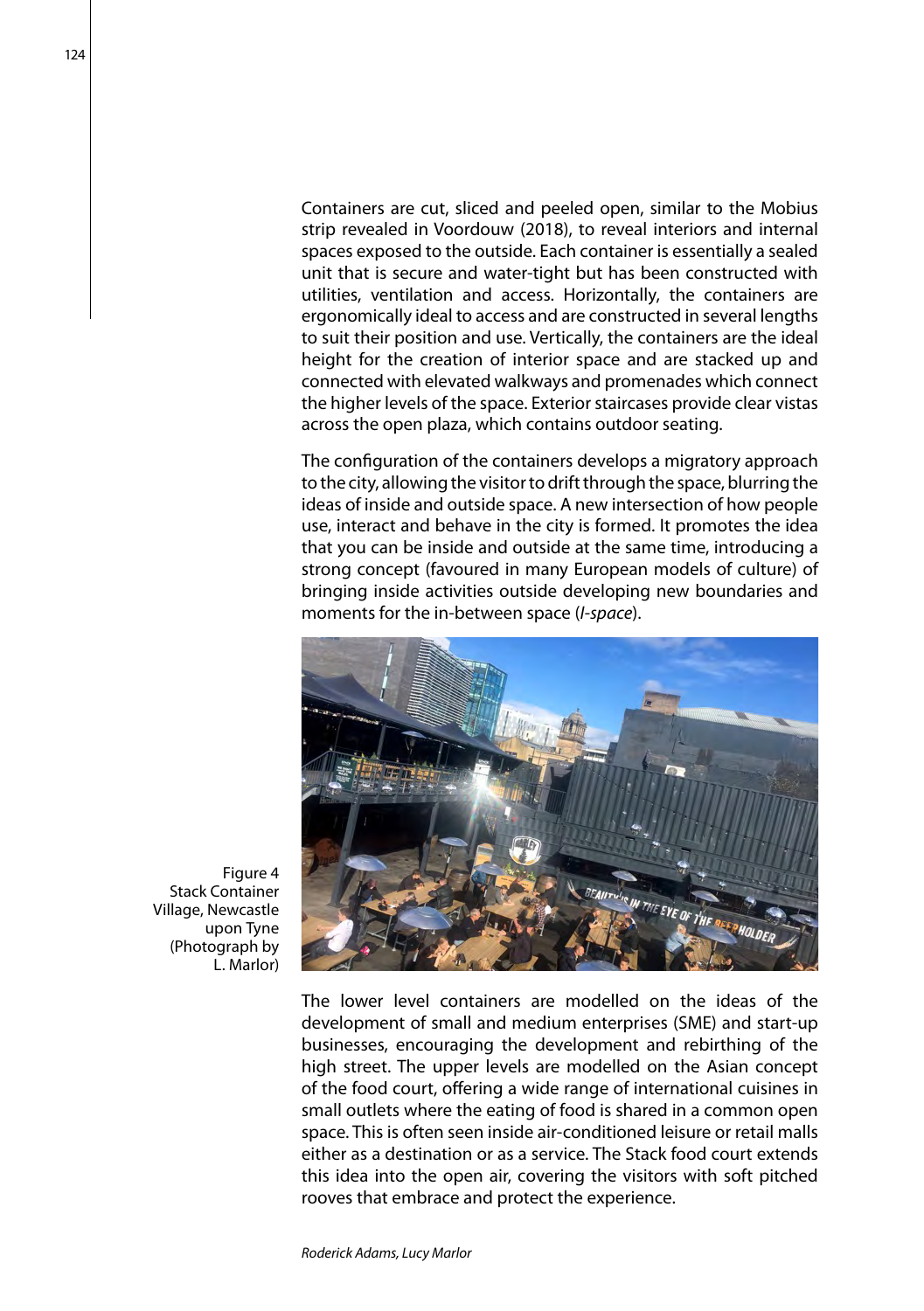Containers are cut, sliced and peeled open, similar to the Mobius strip revealed in Voordouw (2018), to reveal interiors and internal spaces exposed to the outside. Each container is essentially a sealed unit that is secure and water-tight but has been constructed with utilities, ventilation and access. Horizontally, the containers are ergonomically ideal to access and are constructed in several lengths to suit their position and use. Vertically, the containers are the ideal height for the creation of interior space and are stacked up and connected with elevated walkways and promenades which connect the higher levels of the space. Exterior staircases provide clear vistas across the open plaza, which contains outdoor seating.

The configuration of the containers develops a migratory approach to the city, allowing the visitor to drift through the space, blurring the ideas of inside and outside space. A new intersection of how people use, interact and behave in the city is formed. It promotes the idea that you can be inside and outside at the same time, introducing a strong concept (favoured in many European models of culture) of bringing inside activities outside developing new boundaries and moments for the in-between space (*I-space*).



The lower level containers are modelled on the ideas of the development of small and medium enterprises (SME) and start-up businesses, encouraging the development and rebirthing of the high street. The upper levels are modelled on the Asian concept of the food court, offering a wide range of international cuisines in small outlets where the eating of food is shared in a common open space. This is often seen inside air-conditioned leisure or retail malls either as a destination or as a service. The Stack food court extends this idea into the open air, covering the visitors with soft pitched rooves that embrace and protect the experience.

Figure 4 Stack Container Village, Newcastle upon Tyne (Photograph by L. Marlor)

 $124$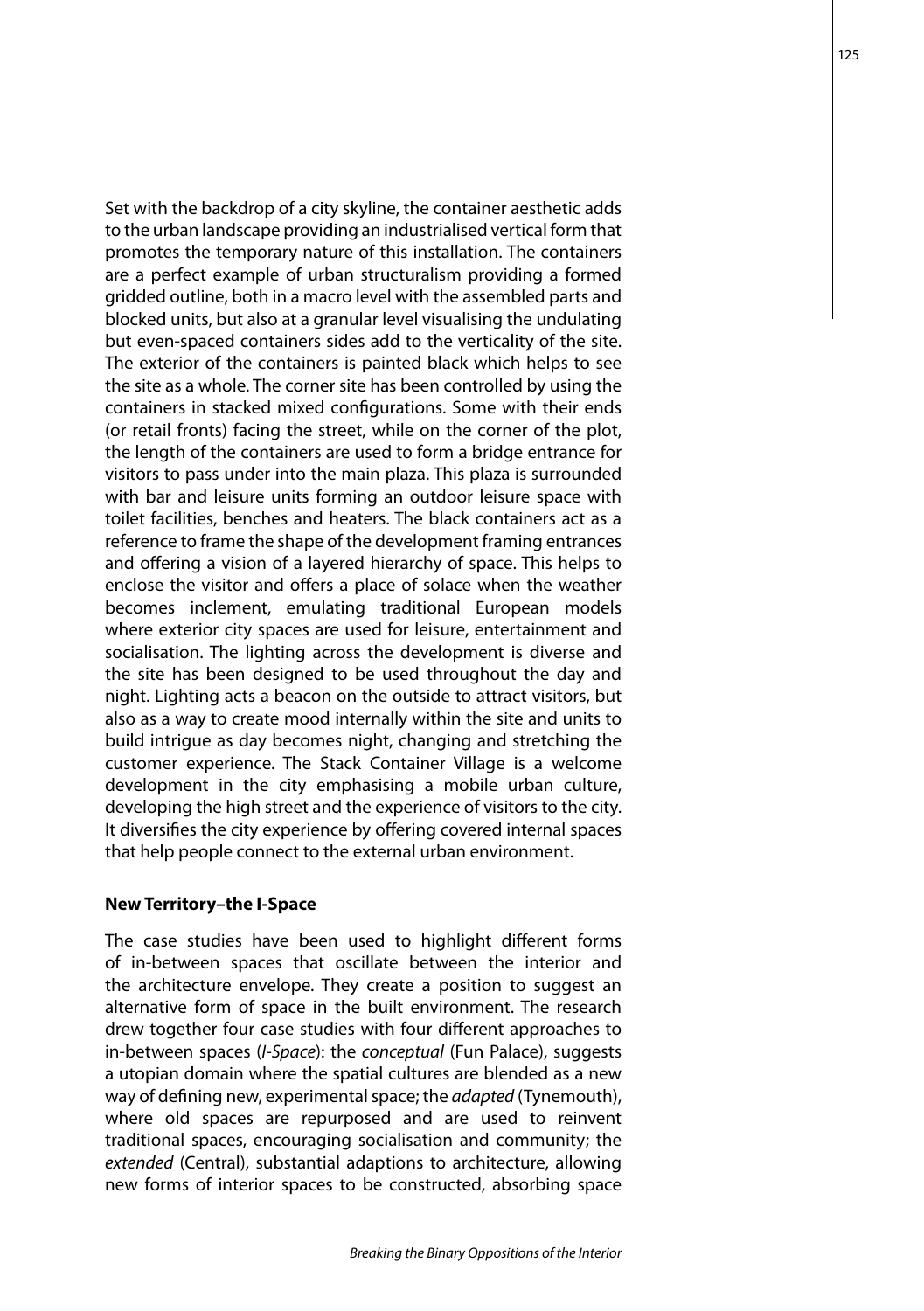Set with the backdrop of a city skyline, the container aesthetic adds to the urban landscape providing an industrialised vertical form that promotes the temporary nature of this installation. The containers are a perfect example of urban structuralism providing a formed gridded outline, both in a macro level with the assembled parts and blocked units, but also at a granular level visualising the undulating but even-spaced containers sides add to the verticality of the site. The exterior of the containers is painted black which helps to see the site as a whole. The corner site has been controlled by using the containers in stacked mixed configurations. Some with their ends (or retail fronts) facing the street, while on the corner of the plot, the length of the containers are used to form a bridge entrance for visitors to pass under into the main plaza. This plaza is surrounded with bar and leisure units forming an outdoor leisure space with toilet facilities, benches and heaters. The black containers act as a reference to frame the shape of the development framing entrances and offering a vision of a layered hierarchy of space. This helps to enclose the visitor and offers a place of solace when the weather becomes inclement, emulating traditional European models where exterior city spaces are used for leisure, entertainment and socialisation. The lighting across the development is diverse and the site has been designed to be used throughout the day and night. Lighting acts a beacon on the outside to attract visitors, but also as a way to create mood internally within the site and units to build intrigue as day becomes night, changing and stretching the customer experience. The Stack Container Village is a welcome development in the city emphasising a mobile urban culture, developing the high street and the experience of visitors to the city. It diversifies the city experience by offering covered internal spaces that help people connect to the external urban environment.

#### **New Territory–the I-Space**

The case studies have been used to highlight different forms of in-between spaces that oscillate between the interior and the architecture envelope. They create a position to suggest an alternative form of space in the built environment. The research drew together four case studies with four different approaches to in-between spaces (*I-Space*): the *conceptual* (Fun Palace), suggests a utopian domain where the spatial cultures are blended as a new way of defining new, experimental space; the *adapted* (Tynemouth), where old spaces are repurposed and are used to reinvent traditional spaces, encouraging socialisation and community; the *extended* (Central), substantial adaptions to architecture, allowing new forms of interior spaces to be constructed, absorbing space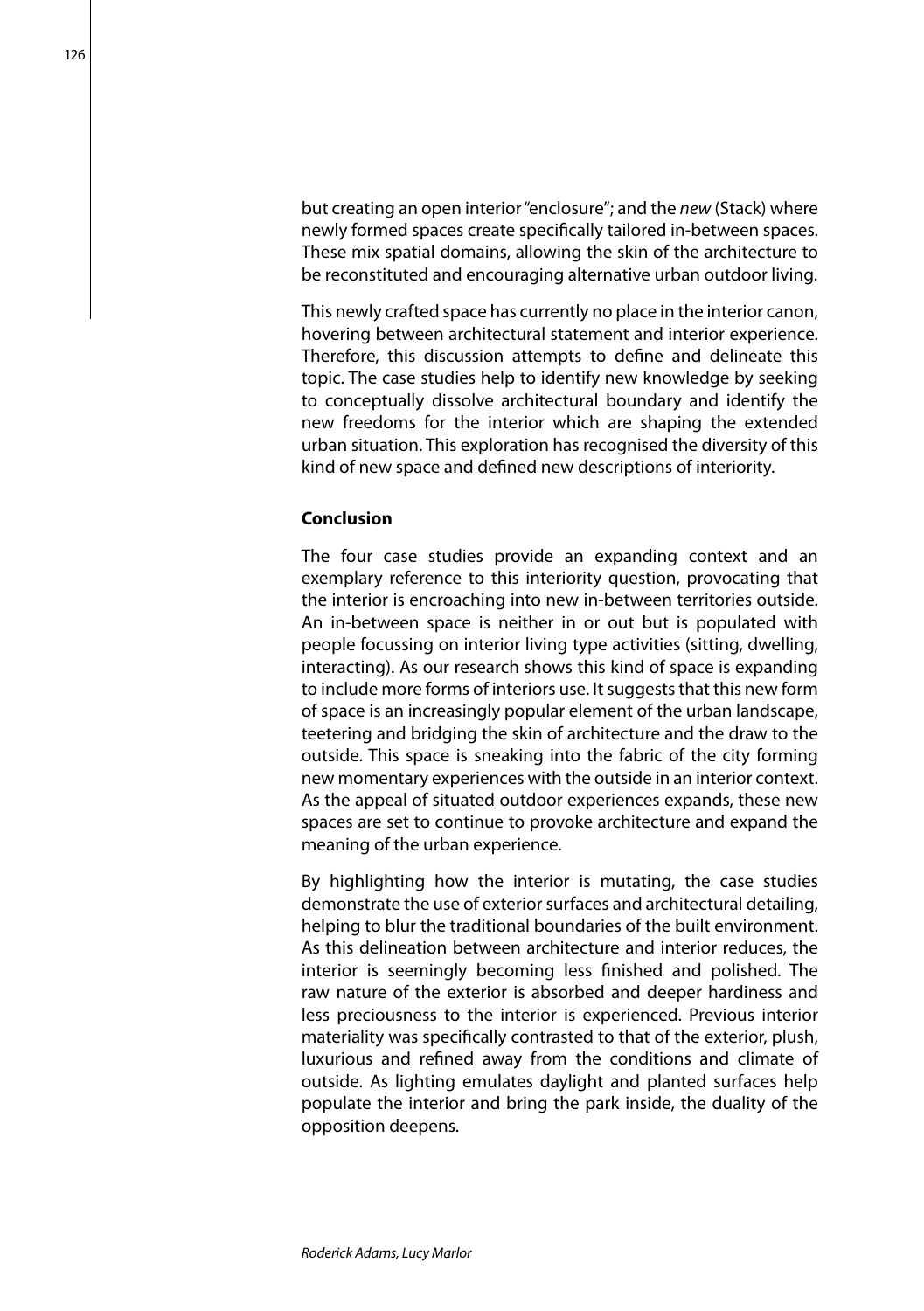but creating an open interior "enclosure"; and the *new* (Stack) where newly formed spaces create specifically tailored in-between spaces. These mix spatial domains, allowing the skin of the architecture to be reconstituted and encouraging alternative urban outdoor living.

This newly crafted space has currently no place in the interior canon, hovering between architectural statement and interior experience. Therefore, this discussion attempts to define and delineate this topic. The case studies help to identify new knowledge by seeking to conceptually dissolve architectural boundary and identify the new freedoms for the interior which are shaping the extended urban situation. This exploration has recognised the diversity of this kind of new space and defined new descriptions of interiority.

# **Conclusion**

The four case studies provide an expanding context and an exemplary reference to this interiority question, provocating that the interior is encroaching into new in-between territories outside. An in-between space is neither in or out but is populated with people focussing on interior living type activities (sitting, dwelling, interacting). As our research shows this kind of space is expanding to include more forms of interiors use. It suggests that this new form of space is an increasingly popular element of the urban landscape, teetering and bridging the skin of architecture and the draw to the outside. This space is sneaking into the fabric of the city forming new momentary experiences with the outside in an interior context. As the appeal of situated outdoor experiences expands, these new spaces are set to continue to provoke architecture and expand the meaning of the urban experience.

By highlighting how the interior is mutating, the case studies demonstrate the use of exterior surfaces and architectural detailing, helping to blur the traditional boundaries of the built environment. As this delineation between architecture and interior reduces, the interior is seemingly becoming less finished and polished. The raw nature of the exterior is absorbed and deeper hardiness and less preciousness to the interior is experienced. Previous interior materiality was specifically contrasted to that of the exterior, plush, luxurious and refined away from the conditions and climate of outside. As lighting emulates daylight and planted surfaces help populate the interior and bring the park inside, the duality of the opposition deepens.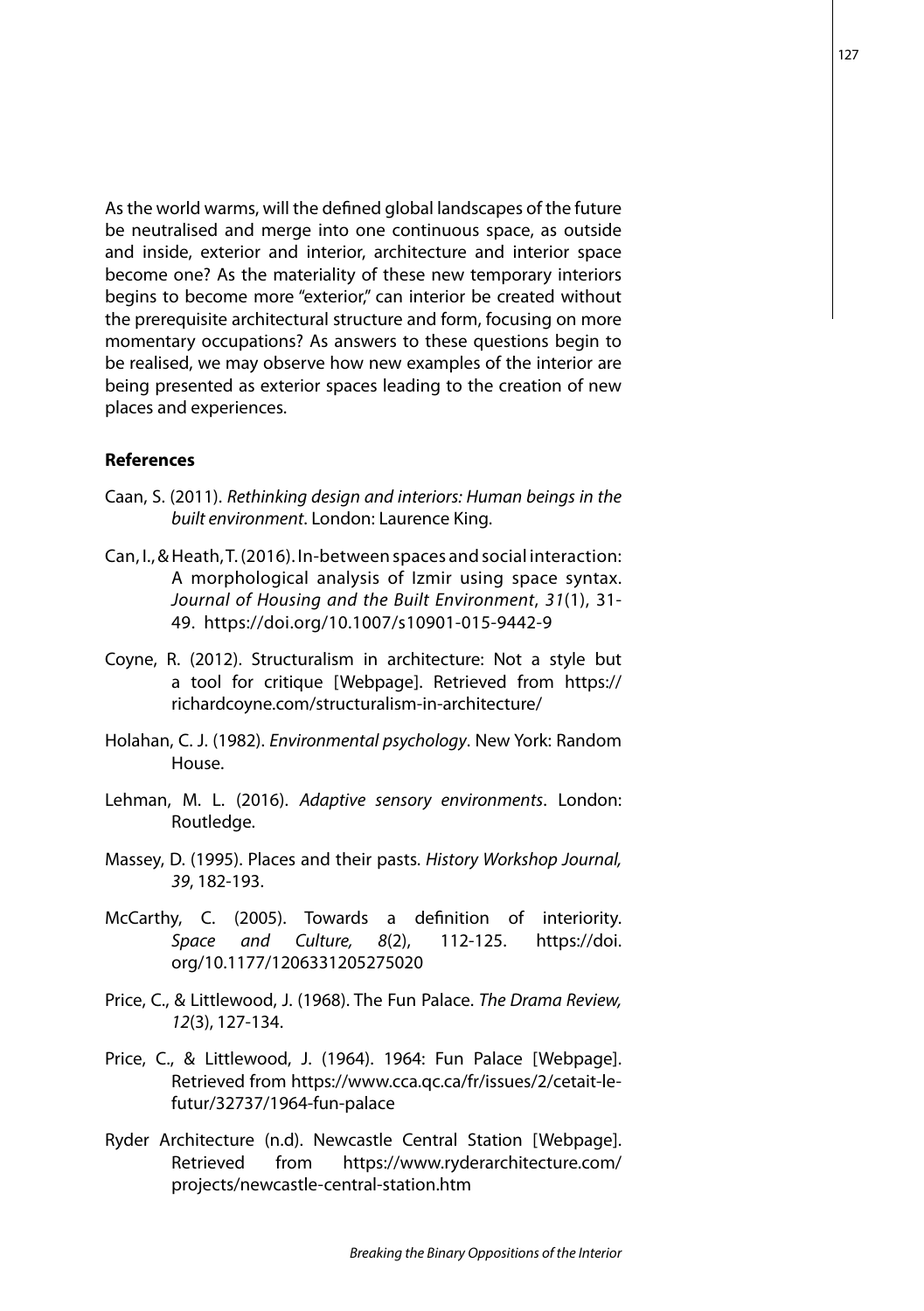As the world warms, will the defined global landscapes of the future be neutralised and merge into one continuous space, as outside and inside, exterior and interior, architecture and interior space become one? As the materiality of these new temporary interiors begins to become more "exterior," can interior be created without the prerequisite architectural structure and form, focusing on more momentary occupations? As answers to these questions begin to be realised, we may observe how new examples of the interior are being presented as exterior spaces leading to the creation of new places and experiences.

#### **References**

- Caan, S. (2011). *Rethinking design and interiors: Human beings in the built environment*. London: Laurence King.
- Can, I., & Heath, T. (2016). In-between spaces and social interaction: A morphological analysis of Izmir using space syntax. *Journal of Housing and the Built Environment*, *31*(1), 31- 49. https://doi.org/10.1007/s10901-015-9442-9
- Coyne, R. (2012). Structuralism in architecture: Not a style but a tool for critique [Webpage]. Retrieved from https:// richardcoyne.com/structuralism-in-architecture/
- Holahan, C. J. (1982). *Environmental psychology*. New York: Random House.
- Lehman, M. L. (2016). *Adaptive sensory environments*. London: Routledge.
- Massey, D. (1995). Places and their pasts. *History Workshop Journal, 39*, 182-193.
- McCarthy, C. (2005). Towards a definition of interiority. *Space and Culture, 8*(2), 112-125. https://doi. org/10.1177/1206331205275020
- Price, C., & Littlewood, J. (1968). The Fun Palace. *The Drama Review, 12*(3), 127-134.
- Price, C., & Littlewood, J. (1964). 1964: Fun Palace [Webpage]. Retrieved from [https://www.cca.qc.ca/fr/issues/2/cetait-le](https://www.cca.qc.ca/fr/issues/2/cetait-le-futur/32737/1964-fun-palace)[futur/32737/1964-fun-palac](https://www.cca.qc.ca/fr/issues/2/cetait-le-futur/32737/1964-fun-palace)e
- Ryder Architecture (n.d). Newcastle Central Station [Webpage]. Retrieved from https://www.ryderarchitecture.com/ projects/newcastle-central-station.htm